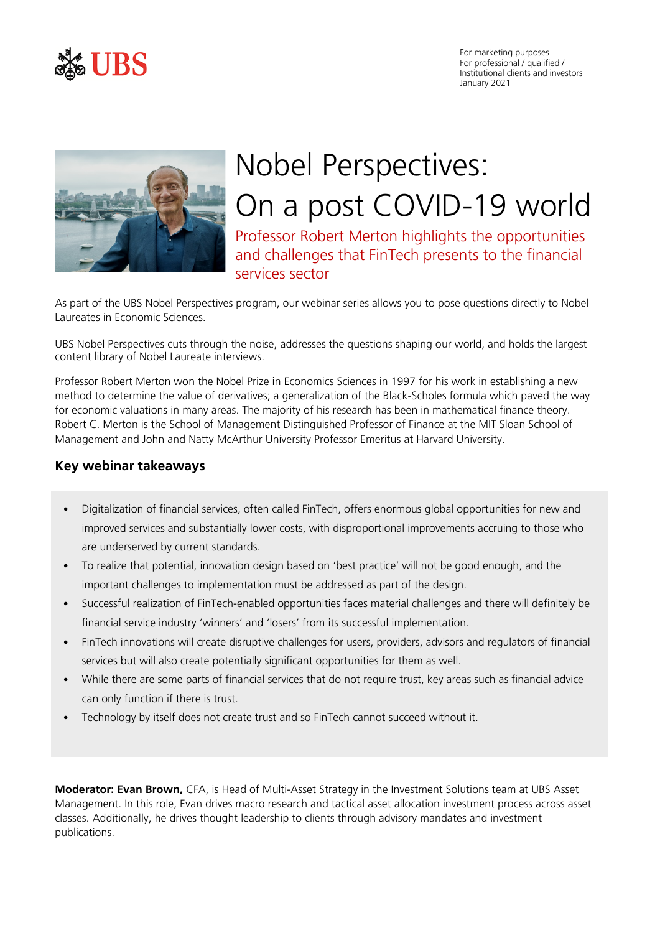

For marketing purposes For professional / qualified / Institutional clients and investors January 2021



# Nobel Perspectives: On a post COVID-19 world

Professor Robert Merton highlights the opportunities and challenges that FinTech presents to the financial services sector

As part of the UBS Nobel Perspectives program, our webinar series allows you to pose questions directly to Nobel Laureates in Economic Sciences.

UBS Nobel Perspectives cuts through the noise, addresses the questions shaping our world, and holds the largest content library of Nobel Laureate interviews.

Professor Robert Merton won the Nobel Prize in Economics Sciences in 1997 for his work in establishing a new method to determine the value of derivatives; a generalization of the Black-Scholes formula which paved the way for economic valuations in many areas. The majority of his research has been in mathematical finance theory. Robert C. Merton is the School of Management Distinguished Professor of Finance at the MIT Sloan School of Management and John and Natty McArthur University Professor Emeritus at Harvard University.

# **Key webinar takeaways**

- Digitalization of financial services, often called FinTech, offers enormous global opportunities for new and improved services and substantially lower costs, with disproportional improvements accruing to those who are underserved by current standards.
- To realize that potential, innovation design based on 'best practice' will not be good enough, and the important challenges to implementation must be addressed as part of the design.
- Successful realization of FinTech-enabled opportunities faces material challenges and there will definitely be financial service industry 'winners' and 'losers' from its successful implementation.
- FinTech innovations will create disruptive challenges for users, providers, advisors and regulators of financial services but will also create potentially significant opportunities for them as well.
- While there are some parts of financial services that do not require trust, key areas such as financial advice can only function if there is trust.
- Technology by itself does not create trust and so FinTech cannot succeed without it.

**Moderator: Evan Brown,** CFA, is Head of Multi-Asset Strategy in the Investment Solutions team at UBS Asset Management. In this role, Evan drives macro research and tactical asset allocation investment process across asset classes. Additionally, he drives thought leadership to clients through advisory mandates and investment publications.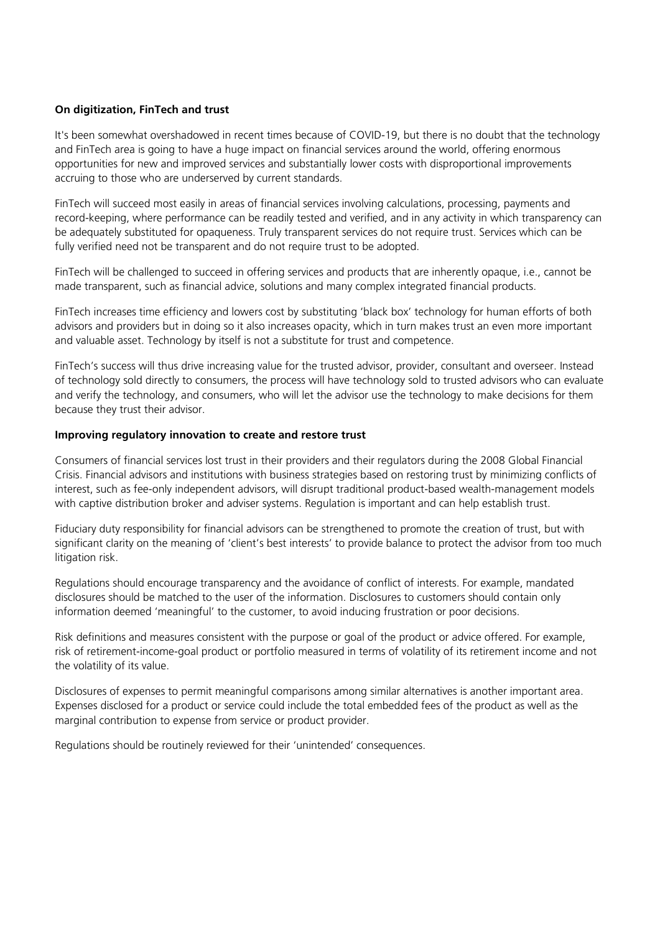# **On digitization, FinTech and trust**

It's been somewhat overshadowed in recent times because of COVID-19, but there is no doubt that the technology and FinTech area is going to have a huge impact on financial services around the world, offering enormous opportunities for new and improved services and substantially lower costs with disproportional improvements accruing to those who are underserved by current standards.

FinTech will succeed most easily in areas of financial services involving calculations, processing, payments and record-keeping, where performance can be readily tested and verified, and in any activity in which transparency can be adequately substituted for opaqueness. Truly transparent services do not require trust. Services which can be fully verified need not be transparent and do not require trust to be adopted.

FinTech will be challenged to succeed in offering services and products that are inherently opaque, i.e., cannot be made transparent, such as financial advice, solutions and many complex integrated financial products.

FinTech increases time efficiency and lowers cost by substituting 'black box' technology for human efforts of both advisors and providers but in doing so it also increases opacity, which in turn makes trust an even more important and valuable asset. Technology by itself is not a substitute for trust and competence.

FinTech's success will thus drive increasing value for the trusted advisor, provider, consultant and overseer. Instead of technology sold directly to consumers, the process will have technology sold to trusted advisors who can evaluate and verify the technology, and consumers, who will let the advisor use the technology to make decisions for them because they trust their advisor.

## **Improving regulatory innovation to create and restore trust**

Consumers of financial services lost trust in their providers and their regulators during the 2008 Global Financial Crisis. Financial advisors and institutions with business strategies based on restoring trust by minimizing conflicts of interest, such as fee-only independent advisors, will disrupt traditional product-based wealth-management models with captive distribution broker and adviser systems. Regulation is important and can help establish trust.

Fiduciary duty responsibility for financial advisors can be strengthened to promote the creation of trust, but with significant clarity on the meaning of 'client's best interests' to provide balance to protect the advisor from too much litigation risk.

Regulations should encourage transparency and the avoidance of conflict of interests. For example, mandated disclosures should be matched to the user of the information. Disclosures to customers should contain only information deemed 'meaningful' to the customer, to avoid inducing frustration or poor decisions.

Risk definitions and measures consistent with the purpose or goal of the product or advice offered. For example, risk of retirement-income-goal product or portfolio measured in terms of volatility of its retirement income and not the volatility of its value.

Disclosures of expenses to permit meaningful comparisons among similar alternatives is another important area. Expenses disclosed for a product or service could include the total embedded fees of the product as well as the marginal contribution to expense from service or product provider.

Regulations should be routinely reviewed for their 'unintended' consequences.